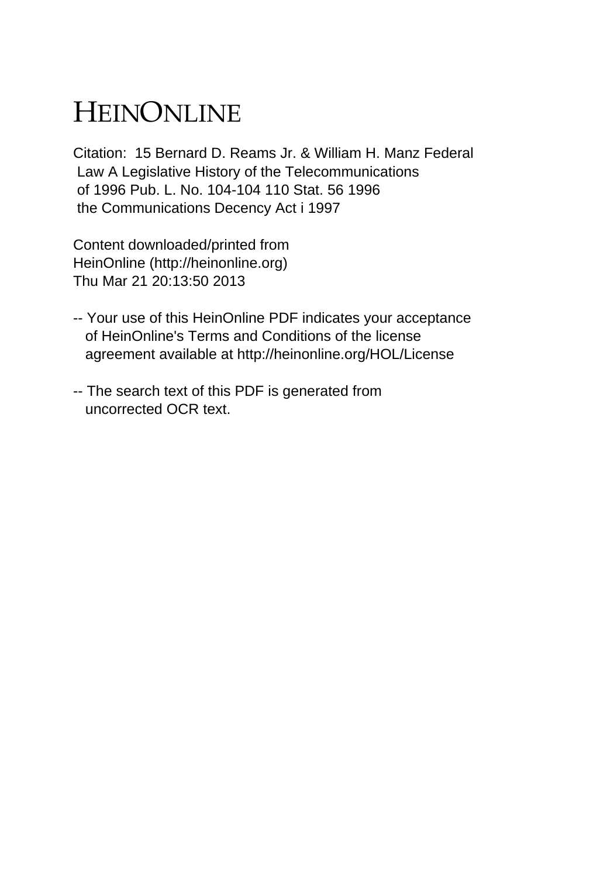## HEINONLINE

Citation: 15 Bernard D. Reams Jr. & William H. Manz Federal Law A Legislative History of the Telecommunications of 1996 Pub. L. No. 104-104 110 Stat. 56 1996 the Communications Decency Act i 1997

Content downloaded/printed from HeinOnline (http://heinonline.org) Thu Mar 21 20:13:50 2013

- -- Your use of this HeinOnline PDF indicates your acceptance of HeinOnline's Terms and Conditions of the license agreement available at http://heinonline.org/HOL/License
- -- The search text of this PDF is generated from uncorrected OCR text.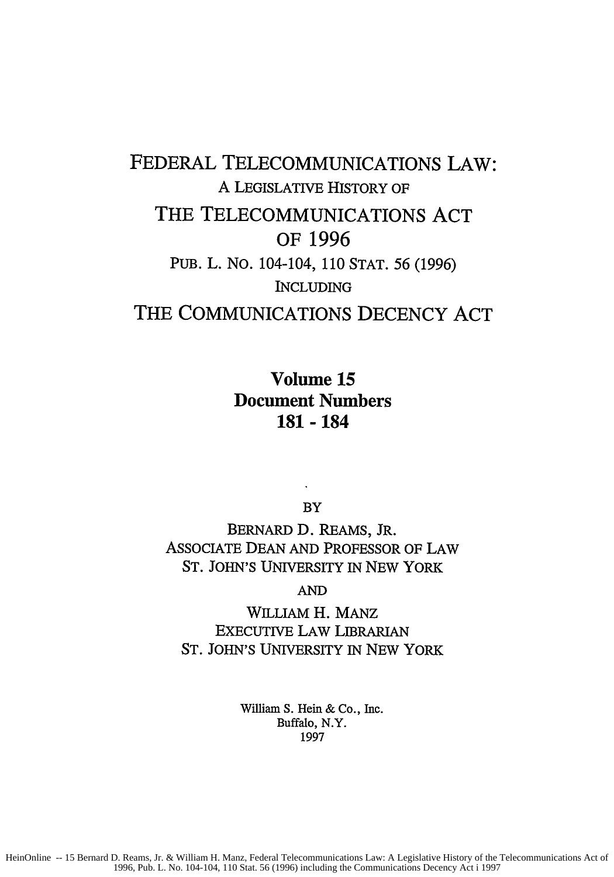## FEDERAL TELECOMMUNICATIONS LAW: A LEGISLATIVE HISTORY OF THE TELECOMMUNICATIONS **ACT** OF **1996** PUB. L. No. 104-104, 110 STAT. 56 (1996) INCLUDING THE COMMUNICATIONS **DECENCY ACT**

Volume **15** Document Numbers **181 - 184**

BY

BERNARD D. REAMS, JR. ASSOCIATE DEAN AND PROFESSOR OF LAW **ST.** JOHN'S UNIVERSITY IN NEW YORK

AND

WILLIAM H. MANz EXECUTIVE LAW LIBRARIAN ST. JOHN'S UNIVERSITY IN NEW YORK

> William **S.** Hein & Co., Inc. Buffalo, N.Y. 1997